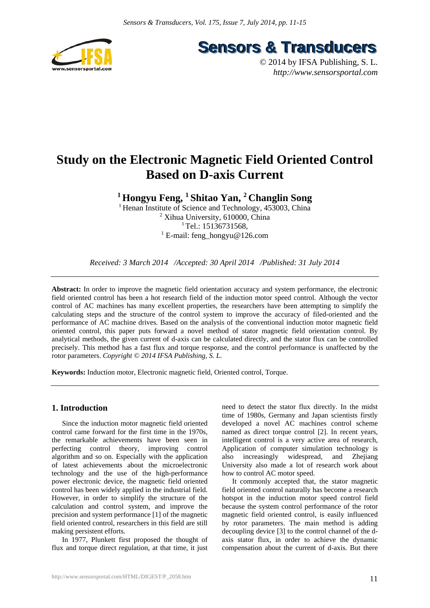



# **Study on the Electronic Magnetic Field Oriented Control Based on D-axis Current**

**1 Hongyu Feng, 1 Shitao Yan, 2 Changlin Song** 

<sup>1</sup> Henan Institute of Science and Technology, 453003, China Xihua University, 610000, China Tel.: 15136731568. E-mail: feng\_hongyu@126.com

*Received: 3 March 2014 /Accepted: 30 April 2014 /Published: 31 July 2014* 

**Abstract:** In order to improve the magnetic field orientation accuracy and system performance, the electronic field oriented control has been a hot research field of the induction motor speed control. Although the vector control of AC machines has many excellent properties, the researchers have been attempting to simplify the calculating steps and the structure of the control system to improve the accuracy of filed-oriented and the performance of AC machine drives. Based on the analysis of the conventional induction motor magnetic field oriented control, this paper puts forward a novel method of stator magnetic field orientation control. By analytical methods, the given current of d-axis can be calculated directly, and the stator flux can be controlled precisely. This method has a fast flux and torque response, and the control performance is unaffected by the rotor parameters. *Copyright © 2014 IFSA Publishing, S. L.*

**Keywords:** Induction motor, Electronic magnetic field, Oriented control, Torque.

## **1. Introduction**

Since the induction motor magnetic field oriented control came forward for the first time in the 1970s, the remarkable achievements have been seen in perfecting control theory, improving control algorithm and so on. Especially with the application of latest achievements about the microelectronic technology and the use of the high-performance power electronic device, the magnetic field oriented control has been widely applied in the industrial field. However, in order to simplify the structure of the calculation and control system, and improve the precision and system performance [1] of the magnetic field oriented control, researchers in this field are still making persistent efforts.

In 1977, Plunkett first proposed the thought of flux and torque direct regulation, at that time, it just

need to detect the stator flux directly. In the midst time of 1980s, Germany and Japan scientists firstly developed a novel AC machines control scheme named as direct torque control [2]. In recent years, intelligent control is a very active area of research, Application of computer simulation technology is also increasingly widespread, and Zhejiang University also made a lot of research work about how to control AC motor speed.

It commonly accepted that, the stator magnetic field oriented control naturally has become a research hotspot in the induction motor speed control field because the system control performance of the rotor magnetic field oriented control, is easily influenced by rotor parameters. The main method is adding decoupling device [3] to the control channel of the daxis stator flux, in order to achieve the dynamic compensation about the current of d-axis. But there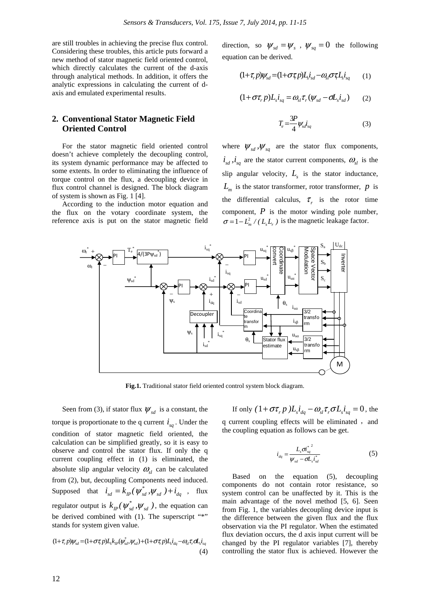are still troubles in achieving the precise flux control. Considering these troubles, this article puts forward a new method of stator magnetic field oriented control, which directly calculates the current of the d-axis through analytical methods. In addition, it offers the analytic expressions in calculating the current of daxis and emulated experimental results.

## **2. Conventional Stator Magnetic Field Oriented Control**

For the stator magnetic field oriented control doesn't achieve completely the decoupling control, its system dynamic performance may be affected to some extents. In order to eliminating the influence of torque control on the flux, a decoupling device in flux control channel is designed. The block diagram of system is shown as Fig. 1 [4].

According to the induction motor equation and the flux on the votary coordinate system, the reference axis is put on the stator magnetic field direction, so  $\psi_{sd} = \psi_s$ ,  $\psi_{sd} = 0$  the following equation can be derived.

$$
(1+\tau_r p)\psi_{sd} = (1+\sigma\tau_r p)L_s i_{sd} - \omega_{sl}\sigma\tau L_s i_{sq} \qquad (1)
$$

$$
(1+\sigma\tau_r p)L_s i_{sq} = \omega_{sl}\tau_r(\psi_{sd} - \sigma L_s i_{sd})
$$
 (2)

$$
T_e = \frac{3P}{4} \psi_{sd} \dot{t}_{sq} \tag{3}
$$

where  $\psi_{sd}$ ,  $\psi_{sq}$  are the stator flux components,  $i_{sd}$ ,  $i_{sd}$  are the stator current components,  $\omega_{sl}$  is the slip angular velocity,  $L<sub>s</sub>$  is the stator inductance,  $L_m$  is the stator transformer, rotor transformer, *p* is the differential calculus,  $\tau_r$  is the rotor time component, *P* is the motor winding pole number,  $\sigma = 1 - L_m^2 / (L_c L_c)$  is the magnetic leakage factor.



**Fig.1.** Traditional stator field oriented control system block diagram.

Seen from (3), if stator flux  $\psi_{sd}$  is a constant, the torque is proportionate to the q current  $i_{sa}$ . Under the condition of stator magnetic field oriented, the calculation can be simplified greatly, so it is easy to observe and control the stator flux. If only the q current coupling effect in (1) is eliminated, the absolute slip angular velocity  $\omega_{sl}$  can be calculated from (2), but, decoupling Components need induced. Supposed that  $i_{sd} = k_{IP}(\psi_{sd}^*, \psi_{sd}) + i_{dq}$ , flux regulator output is  $k_{IP}(\psi_{sd}^*, \psi_{sd})$ , the equation can be derived combined with (1). The superscript "\*" stands for system given value.

$$
(1+\tau_r p)\psi_{sd} = (1+\sigma\tau_r p)L_s k_{lp}(\psi_{sd}^*, \psi_{sd}) + (1+\sigma\tau_r p)L_s i_{dq} - \omega_{sl}\tau_r \sigma L_s i_{sq}
$$
\n(4)

If only  $(1 + \sigma \tau_r p) L_s i_{da} - \omega_{sl} \tau_r \sigma L_s i_{sa} = 0$ , the

q current coupling effects will be eliminated, and the coupling equation as follows can be get.

$$
i_{dq} = \frac{L_s \sigma_{sq}^{*}}{\psi_{sd} - \sigma L_s i_{sd}^*}
$$
 (5)

Based on the equation (5), decoupling components do not contain rotor resistance, so system control can be unaffected by it. This is the main advantage of the novel method [5, 6]. Seen from Fig. 1, the variables decoupling device input is the difference between the given flux and the flux observation via the PI regulator. When the estimated flux deviation occurs, the d axis input current will be changed by the PI regulator variables [7], thereby controlling the stator flux is achieved. However the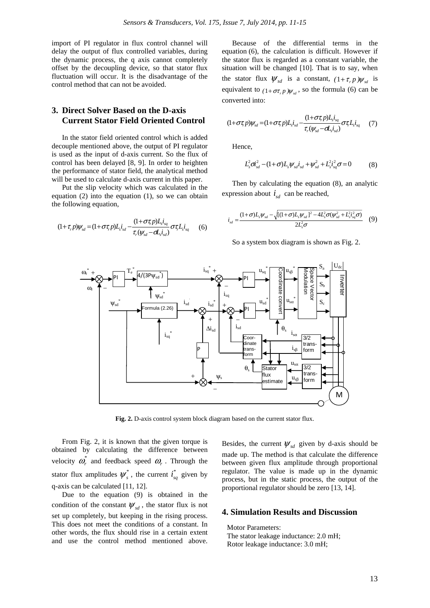import of PI regulator in flux control channel will delay the output of flux controlled variables, during the dynamic process, the q axis cannot completely offset by the decoupling device, so that stator flux fluctuation will occur. It is the disadvantage of the control method that can not be avoided.

## **3. Direct Solver Based on the D-axis Current Stator Field Oriented Control**

In the stator field oriented control which is added decouple mentioned above, the output of PI regulator is used as the input of d-axis current. So the flux of control has been delayed [8, 9]. In order to heighten the performance of stator field, the analytical method will be used to calculate d-axis current in this paper.

Put the slip velocity which was calculated in the equation (2) into the equation (1), so we can obtain the following equation,

$$
(1+\tau_r p)\psi_{sd} = (1+\sigma\tau_r p)L_s i_{sd} - \frac{(1+\sigma\tau_r p)L_s i_{sq}}{\tau_r(\psi_{sd} - \sigma\tau_s i_{sd})}\sigma\tau_r L_s i_{sq} \qquad (6)
$$

Because of the differential terms in the equation (6), the calculation is difficult. However if the stator flux is regarded as a constant variable, the situation will be changed [10]. That is to say, when the stator flux  $\psi_{sd}$  is a constant,  $(1 + \tau_p) \psi_{sd}$  is equivalent to  $(1 + \sigma r_p) \psi_{sd}$ , so the formula (6) can be converted into:

$$
(1+\sigma\tau_{r}p)\psi_{sd} = (1+\sigma\tau_{r}p)L_{s}i_{sd} - \frac{(1+\sigma\tau_{r}p)L_{s}i_{sq}}{\tau_{r}(\psi_{sd}-\sigma\mathbf{I}_{s}i_{sd})}\sigma\tau_{r}L_{s}i_{sq} \tag{7}
$$

Hence,

*i*

$$
L_s^2 \sigma_{sd}^2 - (1+\sigma)L_s \psi_{sd} i_{sd} + \psi_{sd}^2 + L_s^2 i_{sq}^2 \sigma = 0 \tag{8}
$$

Then by calculating the equation (8), an analytic expression about  $i_{sd}$  can be reached,

$$
J_{sd} = \frac{(1+\sigma)L_{s}\psi_{sd} - \sqrt{[(1+\sigma)L_{s}\psi_{sd}]^{2} - 4L_{s}^{2}\sigma(\psi_{sd}^{2} + L_{s}^{2}i_{sq}^{2}\sigma)}}{2L_{s}^{2}\sigma}
$$
(9)

So a system box diagram is shown as Fig. 2.



**Fig. 2.** D-axis control system block diagram based on the current stator flux.

From Fig. 2, it is known that the given torque is obtained by calculating the difference between velocity  $\omega_r^*$  and feedback speed  $\omega_r$ . Through the stator flux amplitudes  $\psi_s^*$ , the current  $i_{sq}^*$  given by q-axis can be calculated [11, 12].

Due to the equation (9) is obtained in the condition of the constant  $\psi_{sd}$ , the stator flux is not set up completely, but keeping in the rising process. This does not meet the conditions of a constant. In other words, the flux should rise in a certain extent and use the control method mentioned above. Besides, the current  $\psi_{sd}$  given by d-axis should be made up. The method is that calculate the difference between given flux amplitude through proportional regulator. The value is made up in the dynamic process, but in the static process, the output of the proportional regulator should be zero [13, 14].

#### **4. Simulation Results and Discussion**

Motor Parameters: The stator leakage inductance: 2.0 mH; Rotor leakage inductance: 3.0 mH;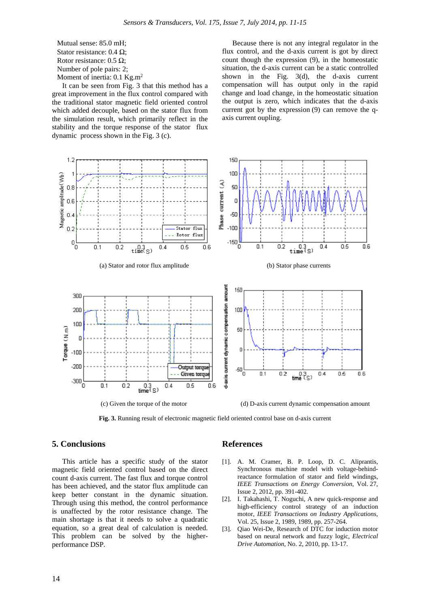Mutual sense: 85.0 mH; Stator resistance: 0.4 Ω; Rotor resistance:  $0.5 \Omega$ ; Number of pole pairs: 2; Moment of inertia: 0.1 Kg.m<sup>2</sup>

It can be seen from Fig. 3 that this method has a great improvement in the flux control compared with the traditional stator magnetic field oriented control which added decouple, based on the stator flux from the simulation result, which primarily reflect in the stability and the torque response of the stator flux dynamic process shown in the Fig. 3 (c).

Because there is not any integral regulator in the flux control, and the d-axis current is got by direct count though the expression (9), in the homeostatic situation, the d-axis current can be a static controlled shown in the Fig. 3(d), the d-axis current compensation will has output only in the rapid change and load change, in the homeostatic situation the output is zero, which indicates that the d-axis current got by the expression (9) can remove the qaxis current oupling.



**Fig. 3.** Running result of electronic magnetic field oriented control base on d-axis current

### **5. Conclusions**

This article has a specific study of the stator magnetic field oriented control based on the direct count d-axis current. The fast flux and torque control has been achieved, and the stator flux amplitude can keep better constant in the dynamic situation. Through using this method, the control performance is unaffected by the rotor resistance change. The main shortage is that it needs to solve a quadratic equation, so a great deal of calculation is needed. This problem can be solved by the higherperformance DSP.

#### **References**

- [1]. A. M. Cramer, B. P. Loop, D. C. Aliprantis, Synchronous machine model with voltage-behindreactance formulation of stator and field windings, *IEEE Transactions on Energy Conversion*, Vol. 27, Issue 2, 2012, pp. 391-402.
- [2]. I. Takahashi, T. Noguchi, A new quick-response and high-efficiency control strategy of an induction motor, *IEEE Transactions on Industry Applications*, Vol. 25, Issue 2, 1989, 1989, pp. 257-264.
- [3]. Qiao Wei-De, Research of DTC for induction motor based on neural network and fuzzy logic, *Electrical Drive Automation*, No. 2, 2010, pp. 13-17.